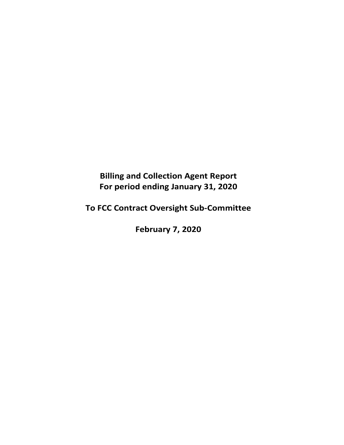**Billing and Collection Agent Report For period ending January 31, 2020** 

**To FCC Contract Oversight Sub‐Committee** 

**February 7, 2020**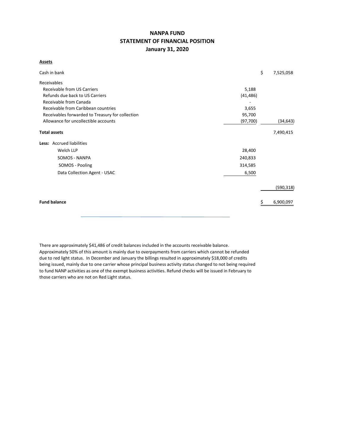# **NANPA FUND STATEMENT OF FINANCIAL POSITION January 31, 2020**

## **Assets**

| Cash in bank                                     |           | \$ | 7,525,058  |
|--------------------------------------------------|-----------|----|------------|
| Receivables                                      |           |    |            |
| <b>Receivable from US Carriers</b>               | 5,188     |    |            |
| Refunds due back to US Carriers                  | (41, 486) |    |            |
| Receivable from Canada                           |           |    |            |
| Receivable from Caribbean countries              | 3,655     |    |            |
| Receivables forwarded to Treasury for collection | 95,700    |    |            |
| Allowance for uncollectible accounts             | (97, 700) |    | (34, 643)  |
| <b>Total assets</b>                              |           |    | 7,490,415  |
| Less: Accrued liabilities                        |           |    |            |
| Welch LLP                                        | 28,400    |    |            |
| SOMOS - NANPA                                    | 240,833   |    |            |
| SOMOS - Pooling                                  | 314,585   |    |            |
| Data Collection Agent - USAC                     | 6,500     |    |            |
|                                                  |           |    | (590, 318) |
| <b>Fund balance</b>                              |           | S  | 6,900,097  |

There are approximately \$41,486 of credit balances included in the accounts receivable balance. Approximately 50% of this amount is mainly due to overpayments from carriers which cannot be refunded due to red light status. In December and January the billings resulted in approximately \$18,000 of credits being issued, mainly due to one carrier whose principal business activity status changed to not being required to fund NANP activities as one of the exempt business activities. Refund checks will be issued in February to those carriers who are not on Red Light status.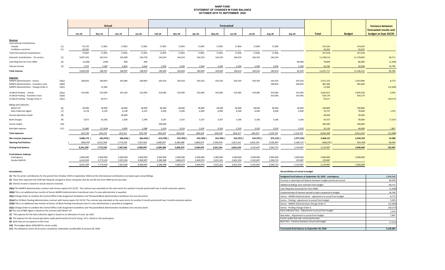### **NANP FUND STATEMENT OF CHANGES IN FUND BALANCE OCTOBER 2019 TO SEPTEMBER 2020**

|                                                                                  |        |                  |                   | Forecasted        |                  |                   |                  |                  |                   |                   |                  |                  |            | <b>Variance between</b> |                   |                        |
|----------------------------------------------------------------------------------|--------|------------------|-------------------|-------------------|------------------|-------------------|------------------|------------------|-------------------|-------------------|------------------|------------------|------------|-------------------------|-------------------|------------------------|
|                                                                                  |        |                  |                   |                   |                  |                   |                  |                  |                   |                   |                  |                  |            |                         |                   | forecasted results and |
|                                                                                  |        | Oct-19           | <b>Nov-19</b>     | <b>Dec-19</b>     | <b>Jan-20</b>    | Feb-20            | <b>Mar-20</b>    | Apr-20           | <b>May-20</b>     | <b>Jun-20</b>     | <b>Jul-20</b>    | <b>Aug-20</b>    | Sep-20     | <b>Total</b>            | <b>Budget</b>     | budget at Sept 30/20   |
| Revenue                                                                          |        |                  |                   |                   |                  |                   |                  |                  |                   |                   |                  |                  |            |                         |                   |                        |
| <b>International Contributions</b>                                               |        |                  |                   |                   |                  |                   |                  |                  |                   |                   |                  |                  |            |                         |                   |                        |
| Canada                                                                           | (1)    | 35,710           | 17,855            | 17,855            | 17,855           | 17,855            | 17,855           | 17,855           | 17,855            | 17,856            | 17,856           | 17,856           |            | 214,263                 | 214,263           |                        |
| Caribbean countries                                                              | (1)    | 43,355<br>79,065 | $\sim 10^{-1}$    | $\sim$            | $\sim$<br>17,855 | $\sim$            | $\sim$<br>17,855 | $\sim$<br>17,855 | $\sim 100$        | $\sim$            | $\sim$<br>17,856 | $\sim$<br>17,856 |            | 43,355<br>257,618       | 43,355<br>257,618 | $\sim$ $-$             |
| <b>Total International Contributions</b><br>Domestic Contributions - US carriers |        | 9,607,193        | 17,855<br>163,514 | 17,855<br>163,309 | 164,720          | 17,855<br>164,254 | 164,254          | 164,254          | 17,855<br>164,254 | 17,856<br>164,254 | 164,254          | 164,254          | $\sim$     |                         |                   |                        |
|                                                                                  | (1)    |                  |                   |                   |                  |                   |                  |                  |                   |                   |                  |                  | $\sim$     | 11,248,514              | 11,178,803        | 69,711                 |
| Late filing fees for Form 499A                                                   | (2)    | (2,600)          | (100)             | 900               | 600              | $\sim$            | $\sim$           | $\sim$           | $\sim$ $-$        | $\sim$            | $\sim$           | $\sim$           | 80,000     | 78,800                  | 80,000            | (1, 200)               |
| Interest income                                                                  | (3)    | 7,270            | 7,028             | 6,843             | 5,644            | 2,500             | 2,500            | 2,500            | 2,500             | 2,500             | 2,500            | 2,500            | 2,500      | 46,785                  | 30,000            | 16,785                 |
| <b>Total revenue</b>                                                             |        | 9,690,928        | 188,297           | 188,907           | 188,819          | 184,609           | 184,609          | 184,609          | 184,609           | 184,610           | 184,610          | 184,610          | 82,500     | 11,631,717              | 11,546,421        | 85,296                 |
| <b>Expenses</b>                                                                  |        |                  |                   |                   |                  |                   |                  |                  |                   |                   |                  |                  |            |                         |                   |                        |
| <b>NANPA Administration - Somos</b>                                              | (4)(a) | 240,833          | 240,833           | 242,060           | 240,833          | 243,333           | 243,333          | 243,333          | 243,333           | 243,333           | 243,333          | 243,333          | 243,333    | 2,911,223               | 2,919,996         | 8,773                  |
| <b>NANPA Administration - transition costs</b>                                   | (4)(b) | $\sim$ $\sim$    | $\sim$            | $\sim$            | $\sim$           |                   |                  |                  |                   |                   |                  | 240,833          | 240,833    | 481,666                 | 481,666           |                        |
| NANPA Administration - Change Order A                                            | (4)(c) | $\sim$           | 12,360            | $\sim$            | $\sim$           |                   |                  |                  |                   |                   |                  |                  |            | 12,360                  |                   | (12, 360)              |
| 1K Block Pooling - Somos                                                         | (5)(a) | 314,585          | 314,585           | 325,192           | 314,585          | 319,585           | 319,585          | 319,585          | 319,585           | 319,585           | 319,585          | 319,585          | 319,585    | 3,825,627               | 3,835,020         | 9,393                  |
| 1K Block Pooling - Transition Costs                                              | (5)(b) | $\sim$           | $\sim$            | $\sim$            | $\sim$           |                   |                  |                  |                   |                   |                  | 314,585          | 314,585    | 629,170                 | 629,170           |                        |
| 1K Block Pooling - Change Order A                                                | (5)(c) | $\sim$           | 59,217            | $\sim$            | $\sim$           |                   |                  |                  |                   |                   |                  |                  |            | 59,217                  |                   | (59, 217)              |
| <b>Billing and Collection</b>                                                    |        |                  |                   |                   |                  |                   |                  |                  |                   |                   |                  |                  |            |                         |                   |                        |
| Welch LLP                                                                        | (6)    | 28,400           | 28,400            | 28,400            | 28,400           | 28,400            | 28,400           | 28,400           | 28,400            | 28,400            | 28,400           | 28,400           | 28,400     | 340,800                 | 340,800           |                        |
| <b>Data Collection Agent</b>                                                     | (7)    | 6,178            | 6,159             | 6,158             | 6,252            | 6,500             | 6,500            | 6,500            | 6,500             | 6,500             | 6,500            | 6,500            | 6,500      | 76,747                  | 78,000            | 1,253                  |
| <b>Annual Operations Audit</b>                                                   | (8)    | $\sim$           | $\sim$            | 49,000            | $\sim$           | $\sim$ $\sim$     | $\sim$           | $\sim$           | $\sim$ $-$        | $\sim$ $-$        | $\sim$           |                  | $\sim$     | 49,000                  | 49,000            |                        |
| <b>Bank Charges</b>                                                              | (9)    | 5,073            | 10,356            | 2,506             | 2,290            | 3,167             | 3,167            | 3,167            | 3,167             | 3,166             | 3,166            | 3,166            | 3,166      | 45,557                  | 38,000            | (7, 557)               |
| Carrier Audits                                                                   | (10)   | $\sim$           | $\sim$            | $\sim$            | $\sim$           | 200,000           | $\sim$ $-$       | $\sim$           | $\sim$            | $\sim$            | $\sim$           | $\sim$           | $\sim$     | 200,000                 | 200,000           |                        |
| Bad debt expense                                                                 | (11)   | 15,680           | (17, 634)         | 4,095             | 3,388            | 3,333             | 3,333            | 3,333            | 3,333             | 3,333             | 3,333            | 3,333            | 3,333      | 32,193                  | 40,000            | 7,807                  |
| <b>Total expenses</b>                                                            |        | 610,749          | 654,276           | 657,411           | 595,748          | 804,318           | 604,318          | 604,318          | 604,318           | 604,317           | 604,317          | 1,159,735        | 1,159,735  | 8,663,560               | 8,611,652         | (51,908)               |
| Net revenue (expenses)                                                           |        | 9,080,179        | 465,979)          | 468,504) (        | 406,929)         | 619,709)          | 419,709)         | 419,709)         | 419,709)          | 419,707) (        | 419,707)         | 975,125) (       | 1,077,235) | 2,968,157               | 2,934,769         | 33,388                 |
| <b>Opening fund balance</b>                                                      |        | 838,670)         | 8,241,509         | 7,775,530         | 7,307,026        | 6,900,097         | 6,280,388        | 5,860,679        | 5,440,970         | 5,021,261         | 4,601,554        | 4,181,847        | 3,206,722  | 838,670)                | 934,769)          | 96,099                 |
| <b>Closing fund balance</b>                                                      |        | 8,241,509        | 7,775,530         | 7,307,026         | 6,900,097        | 6,280,388         | 5,860,679        | 5,440,970        | 5,021,261         | 4,601,554         | 4,181,847        | 3,206,722        | 2,129,487  | 2,129,487               | 2,000,000         | 129,487                |
|                                                                                  |        |                  |                   |                   |                  |                   |                  |                  |                   |                   |                  |                  |            |                         |                   |                        |
| Fund balance makeup:<br>Contingency                                              |        | 2,000,000        | 2,000,000         | 2,000,000         | 2,000,000        | 2,000,000         | 2,000,000        | 2,000,000        | 2,000,000         | 2,000,000         | 2,000,000        | 2,000,000        | 2,000,000  | 2,000,000               | 2,000,000         |                        |
| Surplus (deficit)                                                                |        | 6,241,509        | 5,775,530         | 5,307,026         | 4,900,097        | 4,280,388         | 3,860,679        | 3,440,970        | 3,021,261         | 2,601,554         | 2,181,847        | 1,206,722        | 129,487    | 129,487                 |                   |                        |
|                                                                                  |        | 8,241,509        | 7,775,530         | 7,307,026         | 6.900.097        | 6.280.388         | 5,860,679        | 5,440,970        | 5,021,261         | 4,601,554         | 4,181,847        | 3,206,722        | 2,129,487  | 2,129,487               | 2,000,000         |                        |
|                                                                                  |        |                  |                   |                   |                  |                   |                  |                  |                   |                   |                  |                  |            |                         |                   |                        |

**(1)** The US carrier contributions for the period from October 2019 to September 2020 and the International contributions are based upon actual billings.

**(11)** The allowance covers all accounts considered potentially uncollectible at January 30, 2020.

#### **Assumptions: Reconciliation of actual to budget**

| (1) The US carrier contributions for the period from October 2019 to September 2020 and the International contributions are based upon actual billings.                                    | Budgeted fund balance at September 30, 2020 - contingency         | 2,000,000 |
|--------------------------------------------------------------------------------------------------------------------------------------------------------------------------------------------|-------------------------------------------------------------------|-----------|
| (2) These fees represent the \$100 late filing fee charged to those companies that do not file the Form 499A by the due date.                                                              | Increase in opening fund balance between budget period and actual | 96,099    |
| (3) Interest income is based on actual amounts received.                                                                                                                                   | Additional billings over estimate from budget                     | 69,711    |
| (4)(a) The NANPA Administration contract with Somos expires Oct 31/19. The contract was extended on the same terms for another 6 month period with two 3 month extension options.          | Late filing fees (reversal) for Form 499A                         | (1,200)   |
| (4)(b) This is an additional two months of Somos NANPA Administration transitional costs if a new administrator is awarded.                                                                | Underestimate of interest earned to date compared to budget       | 16,785    |
| (4)(c) Change Order to combine the Central Office Code Assignment Guidelines and Thousands Block Administration Guidelines into one document                                               | Somos - NANPA Administration - adjustment to actual from budget   | 8,773     |
| (5)(a)The 1K Block Pooling Administration contract with Somos expire Oct 31/19. The contract was extended on the same terms for another 6 month period with two 3 month extension options. | Somos - Pooling - adjustment to actual from budget                | 9,393     |
| (5)(b) This is an additional two months of Somos 1K Block Pooling transitional costs if a new administrator is awarded as budgeted.                                                        | Somos - NANPA Administration Change Order A                       | (12, 360) |
| (5)(c) Change Order to combine the Central Office Code Assignment Guidelines and Thousands Block Administration Guidelines into one document                                               | Somos - Pooling Change Order A                                    | (59, 217) |
| (6) The cost of B&C Agent is based on the contract with Welch LLP                                                                                                                          | Data Collection fees - Adjustment to actual from budget           | 1,253     |
| (7) The expense for the Data Collection Agent is based on an allocation of costs by USAC.                                                                                                  | Bad debts - Adjustment to actual from budget                      | 7,807     |
| (8) The expense for the annual operations audit performed by Ernst & Young LLP is based on the quote given.                                                                                | Carrier audits that will not be performed                         |           |
| (9) Bank fees are an expense to the Fund.                                                                                                                                                  | Bank fees - Variance between actual and budget                    | (7, 557)  |
| (10) The budget allows \$200,000 for carrier audits.                                                                                                                                       |                                                                   |           |
| (11) The allowance covers all accounts considered potentially uncollectible at January 30, 2020.                                                                                           | Forecasted fund balance at September 30, 2020                     | 2.129.487 |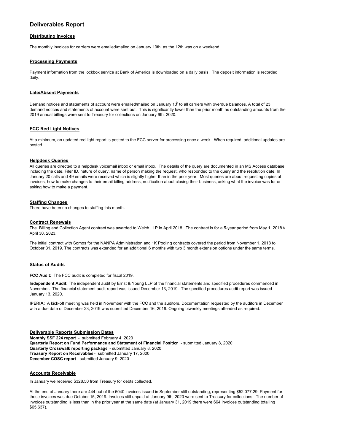# **Deliverables Report**

#### **Distributing invoices**

The monthly invoices for carriers were emailed/mailed on January 10th, as the 12th was on a weekend.

#### **Processing Payments**

Payment information from the lockbox service at Bank of America is downloaded on a daily basis. The deposit information is recorded daily.

#### **Late/Absent Payments**

Demand notices and statements of account were emailed/mailed on January  $13'$  to all carriers with overdue balances. A total of 23 demand notices and statements of account were sent out. This is significantly lower than the prior month as outstanding amounts from the 2019 annual billings were sent to Treasury for collections on January 9th, 2020.

#### **FCC Red Light Notices**

At a minimum, an updated red light report is posted to the FCC server for processing once a week. When required, additional updates are posted.

### **Helpdesk Queries**

All queries are directed to a helpdesk voicemail inbox or email inbox. The details of the query are documented in an MS Access database including the date, Filer ID, nature of query, name of person making the request, who responded to the query and the resolution date. In January 20 calls and 49 emails were received which is slightly higher than in the prior year. Most queries are about requesting copies of invoices, how to make changes to their email billing address, notification about closing their business, asking what the invoice was for or asking how to make a payment.

#### **Staffing Changes**

There have been no changes to staffing this month.

#### **Contract Renewals**

The Billing and Collection Agent contract was awarded to Welch LLP in April 2018. The contract is for a 5-year period from May 1, 2018 to April 30, 2023.

The initial contract with Somos for the NANPA Administration and 1K Pooling contracts covered the period from November 1, 2018 to October 31, 2019. The contracts was extended for an additional 6 months with two 3 month extension options under the same terms.

#### **Status of Audits**

**FCC Audit:** The FCC audit is completed for fiscal 2019.

**Independent Audit:** The independent audit by Ernst & Young LLP of the financial statements and specified procedures commenced in November. The financial statement audit report was issued December 13, 2019. The specified procedures audit report was issued January 13, 2020.

**IPERIA:** A kick-off meeting was held in November with the FCC and the auditors. Documentation requested by the auditors in December with a due date of December 23, 2019 was submitted December 16, 2019. Ongoing biweekly meetings attended as required.

#### **Deliverable Reports Submission Dates**

**Monthly SSF 224 repor**t - submitted February 4, 2020 **Quarterly Report on Fund Performance and Statement of Financial Positio**n - submitted January 8, 2020 **Quarterly Crosswalk reporting package** - submitted January 8, 2020 **Treasury Report on Receivables** - submitted January 17, 2020 **December COSC report** - submitted January 9, 2020

#### **Accounts Receivable**

In January we received \$328.50 from Treasury for debts collected.

At the end of January there are 444 out of the 6040 invoices issued in September still outstanding, representing \$52,077.29. Payment for these invoices was due October 15, 2019. Invoices still unpaid at January 9th, 2020 were sent to Treasury for collections. The number of invoices outstanding is less than in the prior year at the same date (at January 31, 2019 there were 664 invoices outstanding totalling \$65,637).